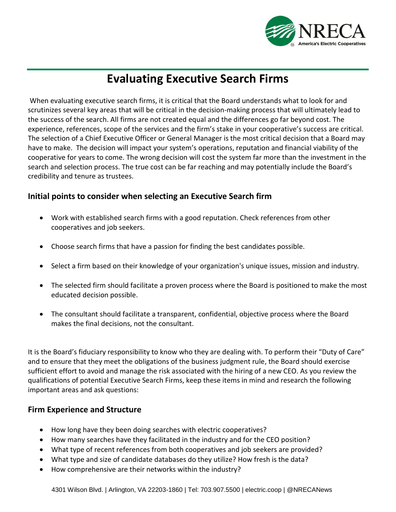

# **Evaluating Executive Search Firms**

When evaluating executive search firms, it is critical that the Board understands what to look for and scrutinizes several key areas that will be critical in the decision-making process that will ultimately lead to the success of the search. All firms are not created equal and the differences go far beyond cost. The experience, references, scope of the services and the firm's stake in your cooperative's success are critical. The selection of a Chief Executive Officer or General Manager is the most critical decision that a Board may have to make. The decision will impact your system's operations, reputation and financial viability of the cooperative for years to come. The wrong decision will cost the system far more than the investment in the search and selection process. The true cost can be far reaching and may potentially include the Board's credibility and tenure as trustees.

#### **Initial points to consider when selecting an Executive Search firm**

- Work with established search firms with a good reputation. Check references from other cooperatives and job seekers.
- Choose search firms that have a passion for finding the best candidates possible.
- Select a firm based on their knowledge of your organization's unique issues, mission and industry.
- The selected firm should facilitate a proven process where the Board is positioned to make the most educated decision possible.
- The consultant should facilitate a transparent, confidential, objective process where the Board makes the final decisions, not the consultant.

It is the Board's fiduciary responsibility to know who they are dealing with. To perform their "Duty of Care" and to ensure that they meet the obligations of the business judgment rule, the Board should exercise sufficient effort to avoid and manage the risk associated with the hiring of a new CEO. As you review the qualifications of potential Executive Search Firms, keep these items in mind and research the following important areas and ask questions:

#### **Firm Experience and Structure**

- How long have they been doing searches with electric cooperatives?
- How many searches have they facilitated in the industry and for the CEO position?
- What type of recent references from both cooperatives and job seekers are provided?
- What type and size of candidate databases do they utilize? How fresh is the data?
- How comprehensive are their networks within the industry?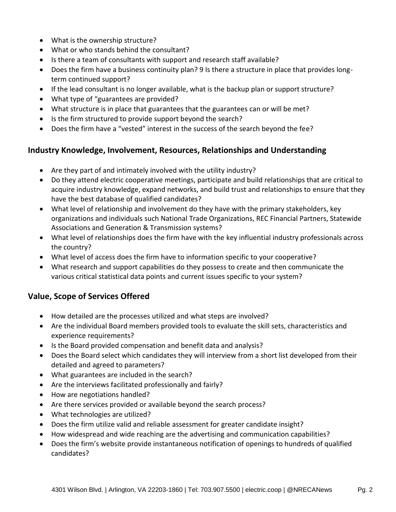- What is the ownership structure?
- What or who stands behind the consultant?
- Is there a team of consultants with support and research staff available?
- Does the firm have a business continuity plan? 9 Is there a structure in place that provides longterm continued support?
- If the lead consultant is no longer available, what is the backup plan or support structure?
- What type of "guarantees are provided?
- What structure is in place that guarantees that the guarantees can or will be met?
- Is the firm structured to provide support beyond the search?
- Does the firm have a "vested" interest in the success of the search beyond the fee?

### **Industry Knowledge, Involvement, Resources, Relationships and Understanding**

- Are they part of and intimately involved with the utility industry?
- Do they attend electric cooperative meetings, participate and build relationships that are critical to acquire industry knowledge, expand networks, and build trust and relationships to ensure that they have the best database of qualified candidates?
- What level of relationship and involvement do they have with the primary stakeholders, key organizations and individuals such National Trade Organizations, REC Financial Partners, Statewide Associations and Generation & Transmission systems?
- What level of relationships does the firm have with the key influential industry professionals across the country?
- What level of access does the firm have to information specific to your cooperative?
- What research and support capabilities do they possess to create and then communicate the various critical statistical data points and current issues specific to your system?

## **Value, Scope of Services Offered**

- How detailed are the processes utilized and what steps are involved?
- Are the individual Board members provided tools to evaluate the skill sets, characteristics and experience requirements?
- Is the Board provided compensation and benefit data and analysis?
- Does the Board select which candidates they will interview from a short list developed from their detailed and agreed to parameters?
- What guarantees are included in the search?
- Are the interviews facilitated professionally and fairly?
- How are negotiations handled?
- Are there services provided or available beyond the search process?
- What technologies are utilized?
- Does the firm utilize valid and reliable assessment for greater candidate insight?
- How widespread and wide reaching are the advertising and communication capabilities?
- Does the firm's website provide instantaneous notification of openings to hundreds of qualified candidates?